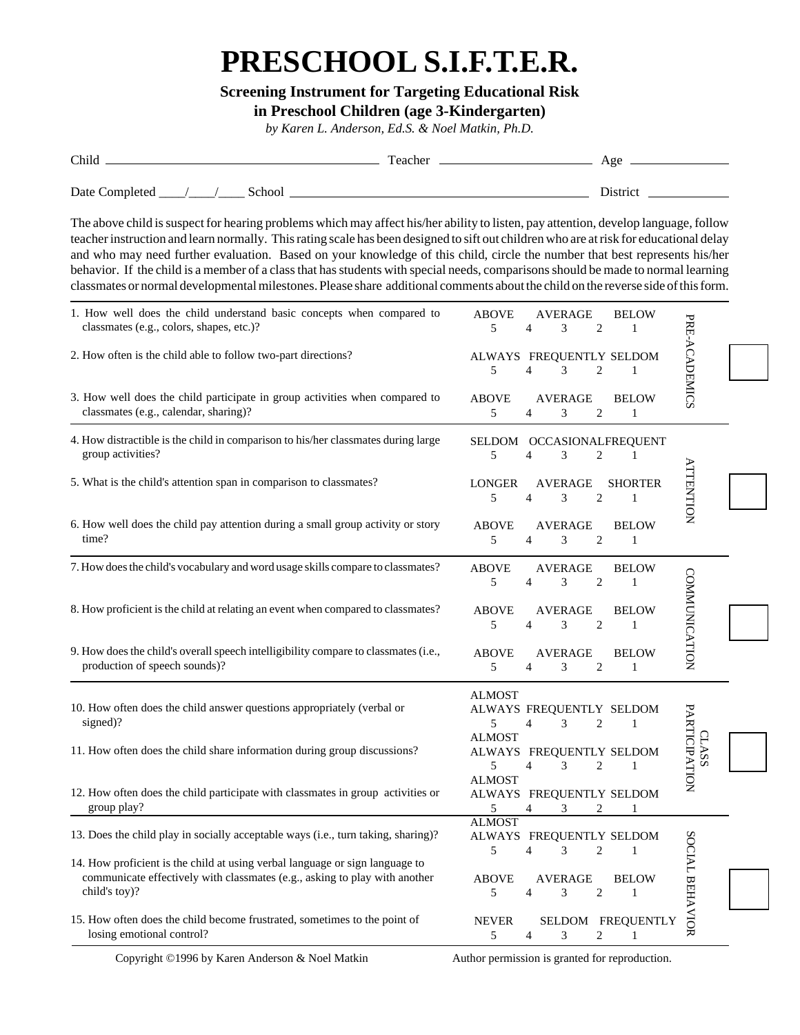## **PRESCHOOL S.I.F.T.E.R.**

## **Screening Instrument for Targeting Educational Risk**

**in Preschool Children (age 3-Kindergarten)**

*by Karen L. Anderson, Ed.S. & Noel Matkin, Ph.D.*

| Child          |  |        | Teacher | Age      |
|----------------|--|--------|---------|----------|
| Date Completed |  | School |         | District |

The above child is suspect for hearing problems which may affect his/her ability to listen, pay attention, develop language, follow teacher instruction and learn normally. This rating scale has been designed to sift out children who are at risk for educational delay and who may need further evaluation. Based on your knowledge of this child, circle the number that best represents his/her behavior. If the child is a member of a class that has students with special needs, comparisons should be made to normal learning classmates or normal developmental milestones. Please share additional comments about the child on the reverse side of this form.

| 1. How well does the child understand basic concepts when compared to<br>classmates (e.g., colors, shapes, etc.)?                                                           | <b>ABOVE</b><br>AVERAGE<br><b>BELOW</b><br>5<br>$\overline{2}$<br>$\overline{4}$<br>3<br>1              |                               |
|-----------------------------------------------------------------------------------------------------------------------------------------------------------------------------|---------------------------------------------------------------------------------------------------------|-------------------------------|
| 2. How often is the child able to follow two-part directions?                                                                                                               | ALWAYS FREQUENTLY SELDOM<br>5<br>$\overline{4}$<br>3<br>$\overline{c}$<br>1                             | PRE-ACADEMICS                 |
| 3. How well does the child participate in group activities when compared to<br>classmates (e.g., calendar, sharing)?                                                        | <b>ABOVE</b><br>AVERAGE<br><b>BELOW</b><br>5<br>3<br>$\overline{c}$<br>$\overline{4}$<br>1              |                               |
| 4. How distractible is the child in comparison to his/her classmates during large<br>group activities?                                                                      | SELDOM OCCASIONALFREQUENT<br>$\overline{4}$<br>3<br>$\overline{c}$<br>5<br>$\mathbf{1}$                 |                               |
| 5. What is the child's attention span in comparison to classmates?                                                                                                          | <b>AVERAGE</b><br><b>LONGER</b><br><b>SHORTER</b><br>$\overline{c}$<br>5<br>$\overline{4}$<br>3<br>1    | <b>ATTENTION</b>              |
| 6. How well does the child pay attention during a small group activity or story<br>time?                                                                                    | <b>AVERAGE</b><br><b>ABOVE</b><br><b>BELOW</b><br>$\overline{c}$<br>5<br>3<br>$\overline{4}$<br>1       |                               |
| 7. How does the child's vocabulary and word usage skills compare to classmates?                                                                                             | <b>ABOVE</b><br><b>AVERAGE</b><br><b>BELOW</b><br>5<br>3<br>2<br>4<br>1                                 |                               |
| 8. How proficient is the child at relating an event when compared to classmates?                                                                                            | <b>ABOVE</b><br><b>AVERAGE</b><br><b>BELOW</b><br>5<br>3<br>$\overline{c}$<br>$\overline{4}$<br>1       | COMMUNICATION                 |
| 9. How does the child's overall speech intelligibility compare to classmates (i.e.,<br>production of speech sounds)?                                                        | <b>AVERAGE</b><br><b>ABOVE</b><br><b>BELOW</b><br>$\overline{2}$<br>5<br>3<br>4<br>1                    |                               |
| 10. How often does the child answer questions appropriately (verbal or<br>signed)?                                                                                          | <b>ALMOST</b><br>ALWAYS FREQUENTLY SELDOM<br>5<br>3<br>$\overline{c}$<br>$\overline{4}$<br>$\mathbf{1}$ |                               |
| 11. How often does the child share information during group discussions?                                                                                                    | <b>ALMOST</b><br>ALWAYS FREQUENTLY SELDOM<br>5<br>$\overline{4}$<br>$\overline{c}$<br>3<br>$\mathbf{1}$ | PARTICIPATION<br><b>CLASS</b> |
| 12. How often does the child participate with classmates in group activities or<br>group play?                                                                              | <b>ALMOST</b><br>ALWAYS FREQUENTLY SELDOM<br>5<br>$\overline{c}$<br>4<br>3<br>$\mathbf{1}$              |                               |
| 13. Does the child play in socially acceptable ways (i.e., turn taking, sharing)?                                                                                           | <b>ALMOST</b><br>ALWAYS FREQUENTLY SELDOM<br>5<br>$\overline{4}$<br>3<br>$\overline{c}$<br>1            |                               |
| 14. How proficient is the child at using verbal language or sign language to<br>communicate effectively with classmates (e.g., asking to play with another<br>child's toy)? | <b>AVERAGE</b><br><b>ABOVE</b><br><b>BELOW</b><br>5<br>$\overline{4}$<br>3<br>$\overline{c}$<br>1       | SOCIAL BEHAVIOR               |
| 15. How often does the child become frustrated, sometimes to the point of<br>losing emotional control?                                                                      | SELDOM FREQUENTLY<br><b>NEVER</b><br>$\overline{c}$<br>5<br>$\overline{4}$<br>3<br>1                    |                               |

Copyright ©1996 by Karen Anderson & Noel Matkin

Author permission is granted for reproduction.